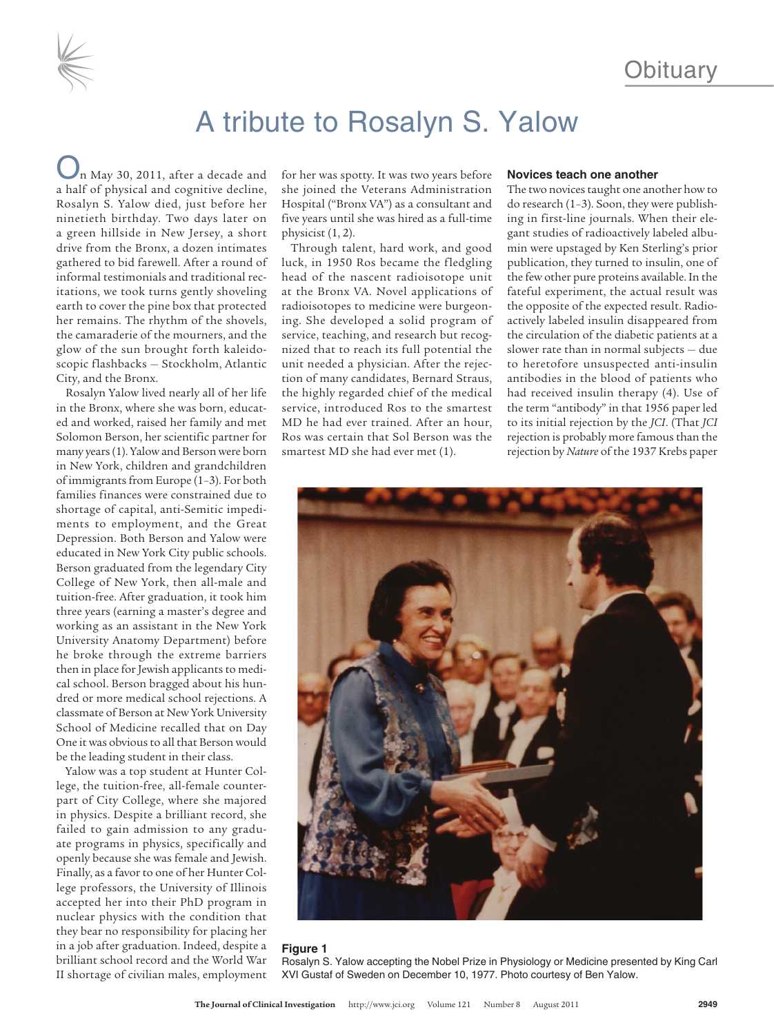

# A tribute to Rosalyn S. Yalow

n May 30, 2011, after a decade and a half of physical and cognitive decline, Rosalyn S. Yalow died, just before her ninetieth birthday. Two days later on a green hillside in New Jersey, a short drive from the Bronx, a dozen intimates gathered to bid farewell. After a round of informal testimonials and traditional recitations, we took turns gently shoveling earth to cover the pine box that protected her remains. The rhythm of the shovels, the camaraderie of the mourners, and the glow of the sun brought forth kaleidoscopic flashbacks — Stockholm, Atlantic City, and the Bronx.

Rosalyn Yalow lived nearly all of her life in the Bronx, where she was born, educated and worked, raised her family and met Solomon Berson, her scientific partner for many years(1). Yalowand Bersonwere born in New York, children and grandchildren of immigrants from Europe (1-3). For both families finances were constrained due to shortage of capital, anti-Semitic impediments to employment, and the Great Depression. Both Berson and Yalow were educated in New York City public schools. Berson graduated from the legendary City College of New York, then all-male and tuition-free. After graduation, it took him three years (earning a master's degree and working as an assistant in the New York University Anatomy Department) before he broke through the extreme barriers then in place for Jewish applicants to medical school. Berson bragged about his hundred or more medical school rejections. A classmate of Berson at New York University School of Medicine recalled that on Day One it was obvious to all that Berson would be the leading student in their class.

Yalow was a top student at Hunter College, the tuition-free, all-female counterpart of City College, where she majored in physics. Despite a brilliant record, she failed to gain admission to any graduate programs in physics, specifically and openly because she was female and Jewish. Finally, as a favor to one of her Hunter College professors, the University of Illinois accepted her into their PhD program in nuclear physics with the condition that they bear no responsibility for placing her in a job after graduation. Indeed, despite a brilliant school record and the World War II shortage of civilian males, employment

for her was spotty. It was two years before she joined the Veterans Administration Hospital ("Bronx VA") as a consultant and five years until she was hired as a full-time physicist (1, 2).

Through talent, hard work, and good luck, in 1950 Ros became the fledgling head of the nascent radioisotope unit at the Bronx VA. Novel applications of radioisotopes to medicine were burgeoning. She developed a solid program of service, teaching, and research but recognized that to reach its full potential the unit needed a physician. After the rejection of many candidates, Bernard Straus, the highly regarded chief of the medical service, introduced Ros to the smartest MD he had ever trained. After an hour, Ros was certain that Sol Berson was the smartest MD she had ever met (1).

#### **Novices teach one another**

The two novices taught one another how to do research (1–3). Soon, they were publishing in first-line journals. When their elegant studies of radioactively labeled albumin were upstaged by Ken Sterling's prior publication, they turned to insulin, one of the few other pure proteins available. In the fateful experiment, the actual result was the opposite of the expected result. Radioactively labeled insulin disappeared from the circulation of the diabetic patients at a slower rate than in normal subjects — due to heretofore unsuspected anti-insulin antibodies in the blood of patients who had received insulin therapy (4). Use of the term "antibody" in that 1956 paper led to its initial rejection by the *JCI*. (That *JCI* rejection is probably more famous than the rejection by *Nature* of the 1937 Krebs paper



## **Figure 1**

Rosalyn S. Yalow accepting the Nobel Prize in Physiology or Medicine presented by King Carl XVI Gustaf of Sweden on December 10, 1977. Photo courtesy of Ben Yalow.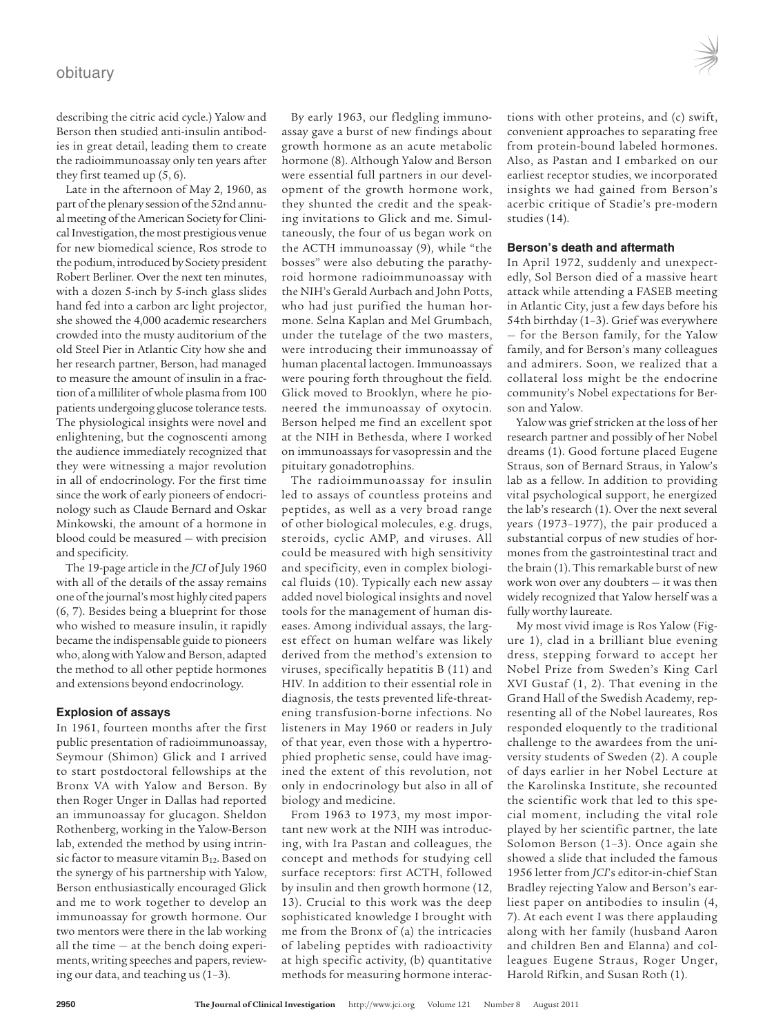## obituary



describing the citric acid cycle.) Yalow and Berson then studied anti-insulin antibodies in great detail, leading them to create the radioimmunoassay only ten years after they first teamed up (5, 6).

Late in the afternoon of May 2, 1960, as part of the plenary session of the 52nd annual meeting of the American Society for Clinical Investigation, the most prestigious venue for new biomedical science, Ros strode to the podium, introduced by Society president Robert Berliner. Over the next ten minutes, with a dozen 5-inch by 5-inch glass slides hand fed into a carbon arc light projector, she showed the 4,000 academic researchers crowded into the musty auditorium of the old Steel Pier in Atlantic City how she and her research partner, Berson, had managed to measure the amount of insulin in a fraction of a milliliter ofwhole plasma from 100 patients undergoing glucose tolerance tests. The physiological insights were novel and enlightening, but the cognoscenti among the audience immediately recognized that they were witnessing a major revolution in all of endocrinology. For the first time since the work of early pioneers of endocrinology such as Claude Bernard and Oskar Minkowski, the amount of a hormone in blood could be measured — with precision and specificity.

The 19-page article in the *JCI* of July 1960 with all of the details of the assay remains one ofthe journal's most highly cited papers (6, 7). Besides being a blueprint for those who wished to measure insulin, it rapidly became the indispensable guide to pioneers who, along with Yalow and Berson, adapted the method to all other peptide hormones and extensions beyond endocrinology.

## **Explosion of assays**

In 1961, fourteen months after the first public presentation of radioimmunoassay, Seymour (Shimon) Glick and I arrived to start postdoctoral fellowships at the Bronx VA with Yalow and Berson. By then Roger Unger in Dallas had reported an immunoassay for glucagon. Sheldon Rothenberg, working in the Yalow-Berson lab, extended the method by using intrinsic factor to measure vitamin B<sub>12</sub>. Based on the synergy of his partnership with Yalow, Berson enthusiastically encouraged Glick and me to work together to develop an immunoassay for growth hormone. Our two mentors were there in the lab working all the time — at the bench doing experiments, writing speeches and papers, reviewing our data, and teaching us (1–3).

By early 1963, our fledgling immunoassay gave a burst of new findings about growth hormone as an acute metabolic hormone (8). Although Yalow and Berson were essential full partners in our development of the growth hormone work, they shunted the credit and the speaking invitations to Glick and me. Simultaneously, the four of us began work on the ACTH immunoassay (9), while "the bosses" were also debuting the parathyroid hormone radioimmunoassay with the NIH's Gerald Aurbach and John Potts, who had just purified the human hormone. Selna Kaplan and Mel Grumbach, under the tutelage of the two masters, were introducing their immunoassay of human placental lactogen. Immunoassays were pouring forth throughout the field. Glick moved to Brooklyn, where he pioneered the immunoassay of oxytocin. Berson helped me find an excellent spot at the NIH in Bethesda, where I worked on immunoassays for vasopressin and the pituitary gonadotrophins.

The radioimmunoassay for insulin led to assays of countless proteins and peptides, as well as a very broad range of other biological molecules, e.g. drugs, steroids, cyclic AMP, and viruses. All could be measured with high sensitivity and specificity, even in complex biological fluids (10). Typically each new assay added novel biological insights and novel tools for the management of human diseases. Among individual assays, the largest effect on human welfare was likely derived from the method's extension to viruses, specifically hepatitis B (11) and HIV. In addition to their essential role in diagnosis, the tests prevented life-threatening transfusion-borne infections. No listeners in May 1960 or readers in July of that year, even those with a hypertrophied prophetic sense, could have imagined the extent of this revolution, not only in endocrinology but also in all of biology and medicine.

From 1963 to 1973, my most important new work at the NIH was introducing, with Ira Pastan and colleagues, the concept and methods for studying cell surface receptors: first ACTH, followed by insulin and then growth hormone (12, 13). Crucial to this work was the deep sophisticated knowledge I brought with me from the Bronx of (a) the intricacies of labeling peptides with radioactivity at high specific activity, (b) quantitative methods for measuring hormone interac-

tions with other proteins, and (c) swift, convenient approaches to separating free from protein-bound labeled hormones. Also, as Pastan and I embarked on our earliest receptor studies, we incorporated insights we had gained from Berson's acerbic critique of Stadie's pre-modern studies (14).

## **Berson's death and aftermath**

In April 1972, suddenly and unexpectedly, Sol Berson died of a massive heart attack while attending a FASEB meeting in Atlantic City, just a few days before his 54th birthday (1–3). Grief was everywhere — for the Berson family, for the Yalow family, and for Berson's many colleagues and admirers. Soon, we realized that a collateral loss might be the endocrine community's Nobel expectations for Berson and Yalow.

Yalow was grief stricken at the loss of her research partner and possibly of her Nobel dreams (1). Good fortune placed Eugene Straus, son of Bernard Straus, in Yalow's lab as a fellow. In addition to providing vital psychological support, he energized the lab's research (1). Over the next several years (1973–1977), the pair produced a substantial corpus of new studies of hormones from the gastrointestinal tract and the brain (1). This remarkable burst of new work won over any doubters — it was then widely recognized that Yalow herself was a fully worthy laureate.

My most vivid image is Ros Yalow (Figure 1), clad in a brilliant blue evening dress, stepping forward to accept her Nobel Prize from Sweden's King Carl XVI Gustaf (1, 2). That evening in the Grand Hall of the Swedish Academy, representing all of the Nobel laureates, Ros responded eloquently to the traditional challenge to the awardees from the university students of Sweden (2). A couple of days earlier in her Nobel Lecture at the Karolinska Institute, she recounted the scientific work that led to this special moment, including the vital role played by her scientific partner, the late Solomon Berson (1–3). Once again she showed a slide that included the famous 1956 letter from *JCI*'s editor-in-chief Stan Bradley rejecting Yalow and Berson's earliest paper on antibodies to insulin (4, 7). At each event I was there applauding along with her family (husband Aaron and children Ben and Elanna) and colleagues Eugene Straus, Roger Unger, Harold Rifkin, and Susan Roth (1).